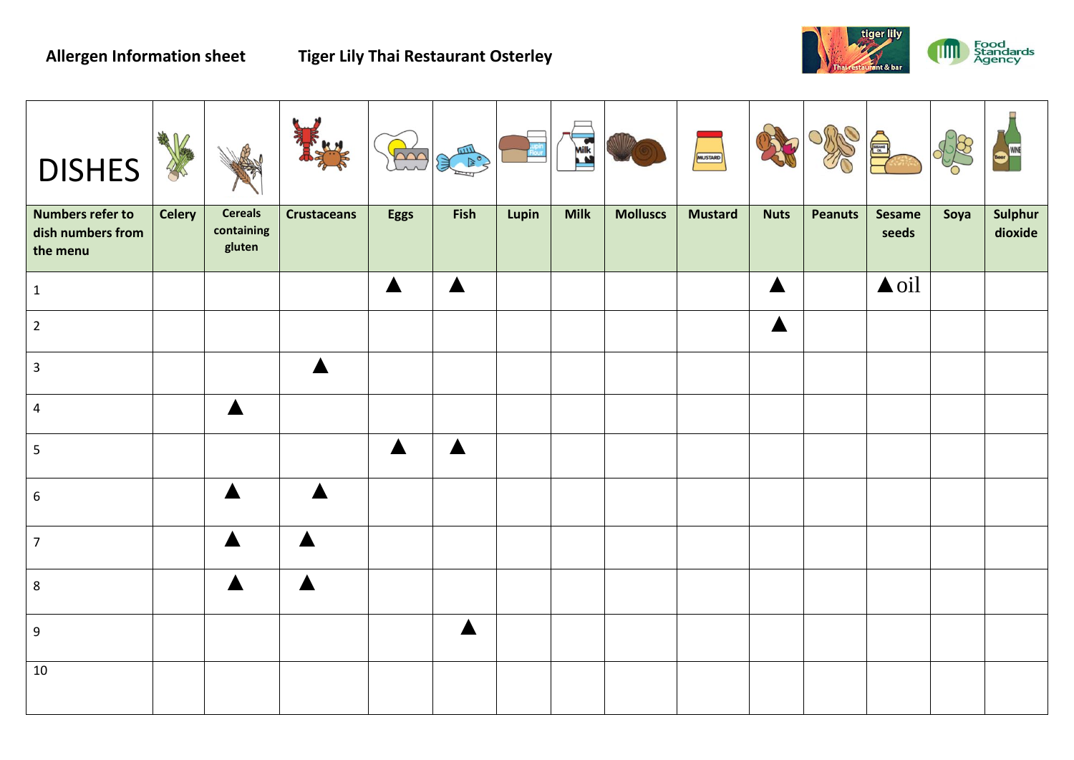

| <b>DISHES</b>                                            | 零             |                                        |                    | Frie        | AIL O<br>$\mathbb{R}^2$ |       | <b>NE</b>   |                 | MUSTARD        |             |                | $\begin{matrix} \begin{matrix} \begin{matrix} 2 \\ 2 \end{matrix} \end{matrix} \end{matrix}$ |      |                    |
|----------------------------------------------------------|---------------|----------------------------------------|--------------------|-------------|-------------------------|-------|-------------|-----------------|----------------|-------------|----------------|----------------------------------------------------------------------------------------------|------|--------------------|
| <b>Numbers refer to</b><br>dish numbers from<br>the menu | <b>Celery</b> | <b>Cereals</b><br>containing<br>gluten | <b>Crustaceans</b> | <b>Eggs</b> | Fish                    | Lupin | <b>Milk</b> | <b>Molluscs</b> | <b>Mustard</b> | <b>Nuts</b> | <b>Peanuts</b> | Sesame<br>seeds                                                                              | Soya | Sulphur<br>dioxide |
| $\mathbf 1$                                              |               |                                        |                    | Ζ           | $\blacktriangle$        |       |             |                 |                | Z           |                | $\triangle$ oil                                                                              |      |                    |
| $\overline{2}$                                           |               |                                        |                    |             |                         |       |             |                 |                |             |                |                                                                                              |      |                    |
| $\overline{3}$                                           |               |                                        |                    |             |                         |       |             |                 |                |             |                |                                                                                              |      |                    |
| $\overline{4}$                                           |               | $\blacktriangle$                       |                    |             |                         |       |             |                 |                |             |                |                                                                                              |      |                    |
| 5                                                        |               |                                        |                    |             | $\blacktriangle$        |       |             |                 |                |             |                |                                                                                              |      |                    |
| $6\,$                                                    |               | $\blacktriangle$                       |                    |             |                         |       |             |                 |                |             |                |                                                                                              |      |                    |
| $\overline{7}$                                           |               |                                        |                    |             |                         |       |             |                 |                |             |                |                                                                                              |      |                    |
| $\bf 8$                                                  |               | $\blacktriangle$                       | $\blacktriangle$   |             |                         |       |             |                 |                |             |                |                                                                                              |      |                    |
| 9                                                        |               |                                        |                    |             | ▲                       |       |             |                 |                |             |                |                                                                                              |      |                    |
| $10\,$                                                   |               |                                        |                    |             |                         |       |             |                 |                |             |                |                                                                                              |      |                    |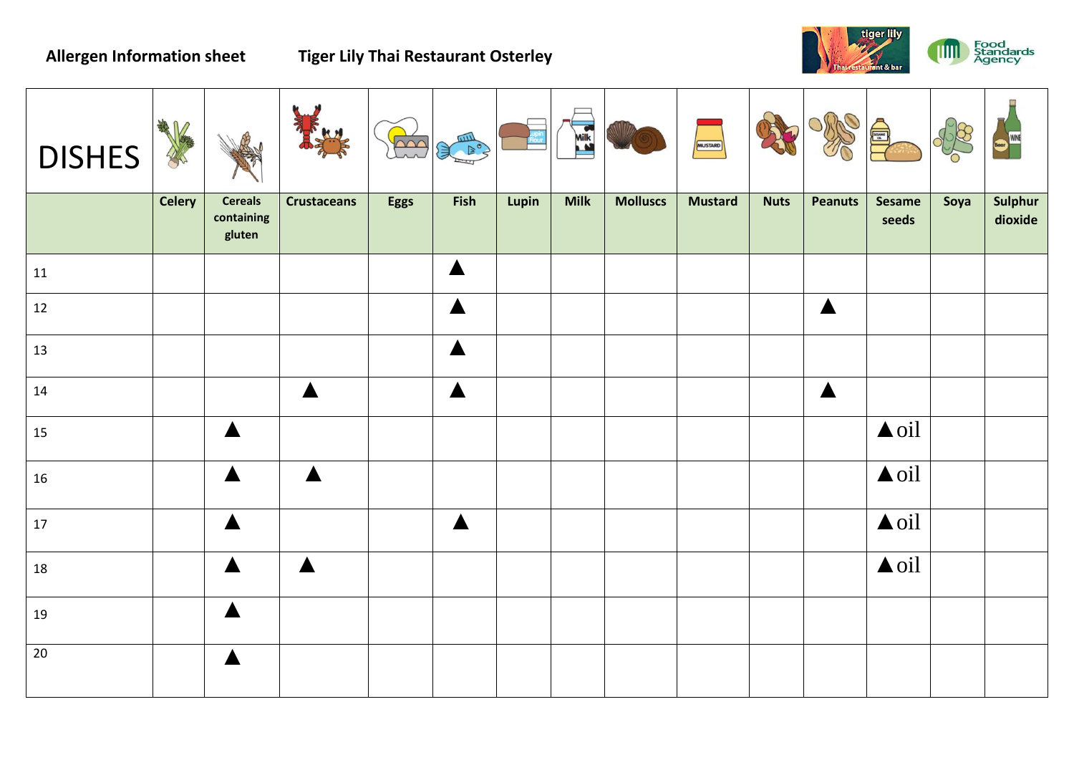

| <b>DISHES</b> | 帶             |                                        |                    | Fri         | $\begin{picture}(120,115) \put(0,0){\line(1,0){15}} \put(15,0){\line(1,0){15}} \put(15,0){\line(1,0){15}} \put(15,0){\line(1,0){15}} \put(15,0){\line(1,0){15}} \put(15,0){\line(1,0){15}} \put(15,0){\line(1,0){15}} \put(15,0){\line(1,0){15}} \put(15,0){\line(1,0){15}} \put(15,0){\line(1,0){15}} \put(15,0){\line(1,0){15}} \put(15,0){\line$ |       | <b>Mik</b>  |                 | <b>MUSTARD</b> |             |                  | ⊜               |      |                    |
|---------------|---------------|----------------------------------------|--------------------|-------------|-----------------------------------------------------------------------------------------------------------------------------------------------------------------------------------------------------------------------------------------------------------------------------------------------------------------------------------------------------|-------|-------------|-----------------|----------------|-------------|------------------|-----------------|------|--------------------|
|               | <b>Celery</b> | <b>Cereals</b><br>containing<br>gluten | <b>Crustaceans</b> | <b>Eggs</b> | Fish                                                                                                                                                                                                                                                                                                                                                | Lupin | <b>Milk</b> | <b>Molluscs</b> | <b>Mustard</b> | <b>Nuts</b> | <b>Peanuts</b>   | Sesame<br>seeds | Soya | Sulphur<br>dioxide |
| $11\,$        |               |                                        |                    |             | $\blacktriangle$                                                                                                                                                                                                                                                                                                                                    |       |             |                 |                |             |                  |                 |      |                    |
| 12            |               |                                        |                    |             | $\blacktriangle$                                                                                                                                                                                                                                                                                                                                    |       |             |                 |                |             | $\blacktriangle$ |                 |      |                    |
| 13            |               |                                        |                    |             | $\blacktriangle$                                                                                                                                                                                                                                                                                                                                    |       |             |                 |                |             |                  |                 |      |                    |
| $14\,$        |               |                                        | $\blacktriangle$   |             | $\blacktriangle$                                                                                                                                                                                                                                                                                                                                    |       |             |                 |                |             | $\blacktriangle$ |                 |      |                    |
| 15            |               | $\blacktriangle$                       |                    |             |                                                                                                                                                                                                                                                                                                                                                     |       |             |                 |                |             |                  | $\triangle$ oil |      |                    |
| 16            |               | $\blacktriangle$                       | $\blacktriangle$   |             |                                                                                                                                                                                                                                                                                                                                                     |       |             |                 |                |             |                  | $\triangle$ oil |      |                    |
| $17\,$        |               | $\blacktriangle$                       |                    |             | $\blacktriangle$                                                                                                                                                                                                                                                                                                                                    |       |             |                 |                |             |                  | $\triangle$ oil |      |                    |
| 18            |               | $\blacktriangle$                       | $\blacktriangle$   |             |                                                                                                                                                                                                                                                                                                                                                     |       |             |                 |                |             |                  | $\Delta$ oil    |      |                    |
| 19            |               |                                        |                    |             |                                                                                                                                                                                                                                                                                                                                                     |       |             |                 |                |             |                  |                 |      |                    |
| $20\,$        |               |                                        |                    |             |                                                                                                                                                                                                                                                                                                                                                     |       |             |                 |                |             |                  |                 |      |                    |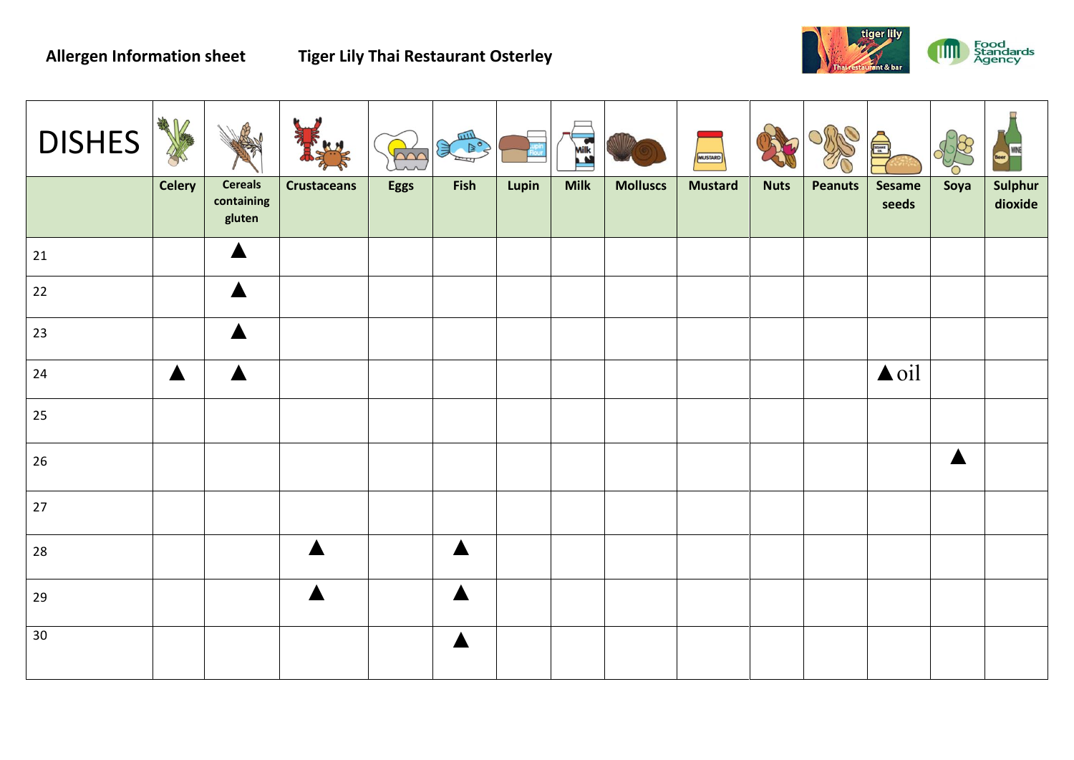

| <b>DISHES</b> | 等             |                                        |                    | $\overline{N}$ | $\begin{picture}(120,115) \put(0,0){\line(1,0){155}} \put(15,0){\line(1,0){155}} \put(15,0){\line(1,0){155}} \put(15,0){\line(1,0){155}} \put(15,0){\line(1,0){155}} \put(15,0){\line(1,0){155}} \put(15,0){\line(1,0){155}} \put(15,0){\line(1,0){155}} \put(15,0){\line(1,0){155}} \put(15,0){\line(1,0){155}} \put(15,0){\line(1,0){155$ |       | <b>Mik</b>  |                 | <b>MUSTARD</b> |             |                | $\begin{matrix} \begin{matrix} \begin{matrix} \alpha \end{matrix} \end{matrix} \end{matrix}$ |      |                    |
|---------------|---------------|----------------------------------------|--------------------|----------------|---------------------------------------------------------------------------------------------------------------------------------------------------------------------------------------------------------------------------------------------------------------------------------------------------------------------------------------------|-------|-------------|-----------------|----------------|-------------|----------------|----------------------------------------------------------------------------------------------|------|--------------------|
|               | <b>Celery</b> | <b>Cereals</b><br>containing<br>gluten | <b>Crustaceans</b> | <b>Eggs</b>    | <b>Fish</b>                                                                                                                                                                                                                                                                                                                                 | Lupin | <b>Milk</b> | <b>Molluscs</b> | <b>Mustard</b> | <b>Nuts</b> | <b>Peanuts</b> | Sesame<br>seeds                                                                              | Soya | Sulphur<br>dioxide |
| 21            |               | ◢                                      |                    |                |                                                                                                                                                                                                                                                                                                                                             |       |             |                 |                |             |                |                                                                                              |      |                    |
| 22            |               |                                        |                    |                |                                                                                                                                                                                                                                                                                                                                             |       |             |                 |                |             |                |                                                                                              |      |                    |
| 23            |               |                                        |                    |                |                                                                                                                                                                                                                                                                                                                                             |       |             |                 |                |             |                |                                                                                              |      |                    |
| 24            |               |                                        |                    |                |                                                                                                                                                                                                                                                                                                                                             |       |             |                 |                |             |                | $\triangle$ oil                                                                              |      |                    |
| 25            |               |                                        |                    |                |                                                                                                                                                                                                                                                                                                                                             |       |             |                 |                |             |                |                                                                                              |      |                    |
| 26            |               |                                        |                    |                |                                                                                                                                                                                                                                                                                                                                             |       |             |                 |                |             |                |                                                                                              |      |                    |
| 27            |               |                                        |                    |                |                                                                                                                                                                                                                                                                                                                                             |       |             |                 |                |             |                |                                                                                              |      |                    |
| 28            |               |                                        |                    |                |                                                                                                                                                                                                                                                                                                                                             |       |             |                 |                |             |                |                                                                                              |      |                    |
| 29            |               |                                        |                    |                |                                                                                                                                                                                                                                                                                                                                             |       |             |                 |                |             |                |                                                                                              |      |                    |
| $30\,$        |               |                                        |                    |                |                                                                                                                                                                                                                                                                                                                                             |       |             |                 |                |             |                |                                                                                              |      |                    |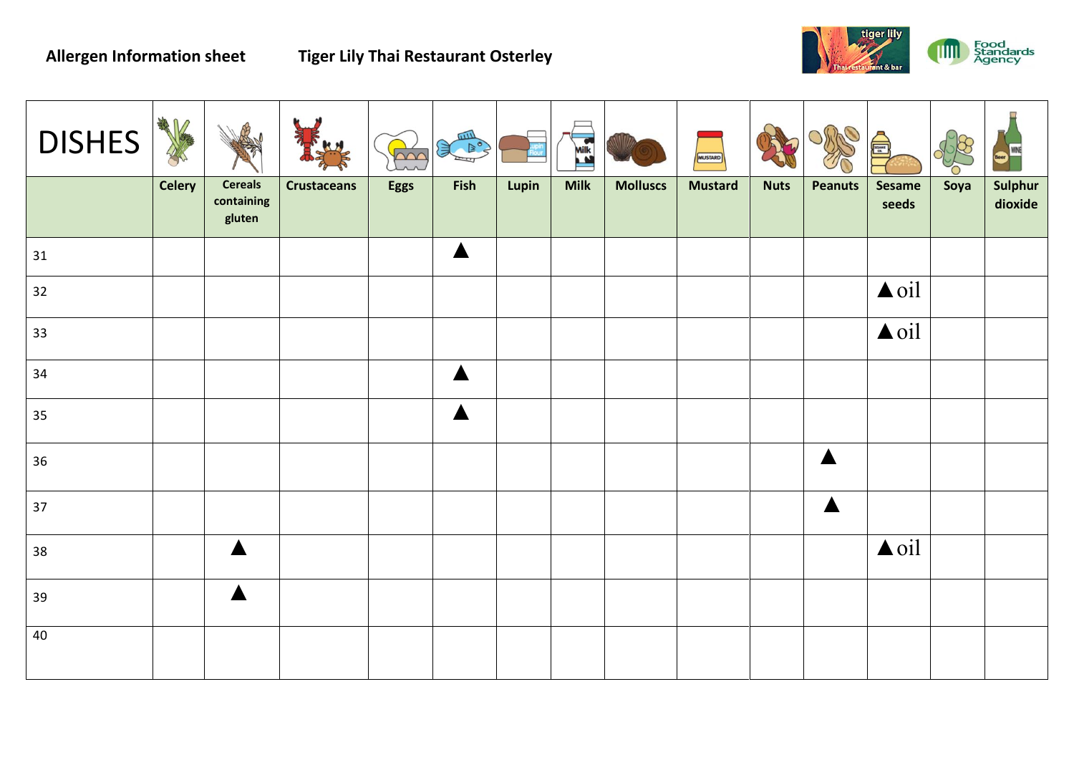

| <b>DISHES</b> | 楼<br>$\mathbb{M}$ |                                        |                    | $\sqrt{200}$ | ES ES            |       | <b>Nik</b>  |                 | MUSTARD        |             |                  | ⊜                      |      |                    |
|---------------|-------------------|----------------------------------------|--------------------|--------------|------------------|-------|-------------|-----------------|----------------|-------------|------------------|------------------------|------|--------------------|
|               | <b>Celery</b>     | <b>Cereals</b><br>containing<br>gluten | <b>Crustaceans</b> | <b>Eggs</b>  | Fish             | Lupin | <b>Milk</b> | <b>Molluscs</b> | <b>Mustard</b> | <b>Nuts</b> | <b>Peanuts</b>   | <b>Sesame</b><br>seeds | Soya | Sulphur<br>dioxide |
| 31            |                   |                                        |                    |              | $\blacktriangle$ |       |             |                 |                |             |                  |                        |      |                    |
| 32            |                   |                                        |                    |              |                  |       |             |                 |                |             |                  | $\triangle$ oil        |      |                    |
| 33            |                   |                                        |                    |              |                  |       |             |                 |                |             |                  | $\triangle$ oil        |      |                    |
| 34            |                   |                                        |                    |              | ▲                |       |             |                 |                |             |                  |                        |      |                    |
| 35            |                   |                                        |                    |              |                  |       |             |                 |                |             |                  |                        |      |                    |
| 36            |                   |                                        |                    |              |                  |       |             |                 |                |             | $\blacktriangle$ |                        |      |                    |
| 37            |                   |                                        |                    |              |                  |       |             |                 |                |             |                  |                        |      |                    |
| $38\,$        |                   | $\blacktriangle$                       |                    |              |                  |       |             |                 |                |             |                  | $\triangle$ oil        |      |                    |
| 39            |                   |                                        |                    |              |                  |       |             |                 |                |             |                  |                        |      |                    |
| 40            |                   |                                        |                    |              |                  |       |             |                 |                |             |                  |                        |      |                    |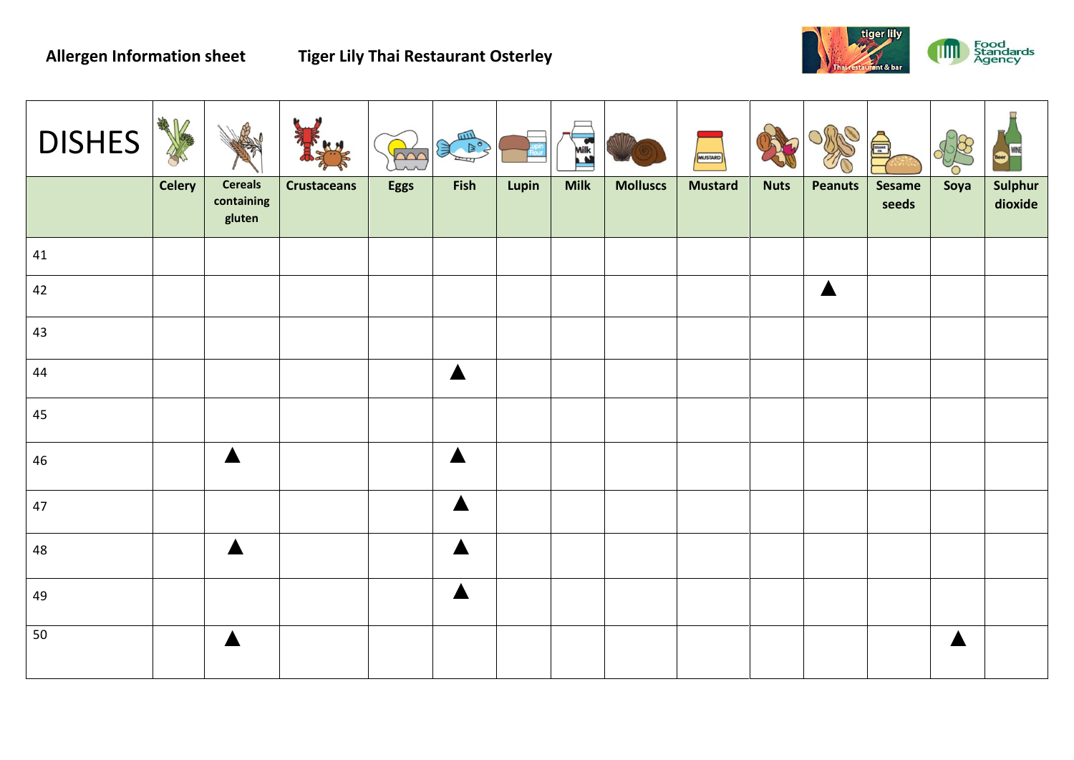

| <b>DISHES</b> | 零<br>$\mathcal{M}$ |                                        |                    | $\sqrt{200}$ | E LA             |       | <b>Milk</b> |                 | <b>MUSTARD</b> |             |                  | $\begin{matrix} \begin{matrix} \begin{matrix} \alpha \end{matrix} \end{matrix} \end{matrix}$ |      |                    |
|---------------|--------------------|----------------------------------------|--------------------|--------------|------------------|-------|-------------|-----------------|----------------|-------------|------------------|----------------------------------------------------------------------------------------------|------|--------------------|
|               | <b>Celery</b>      | <b>Cereals</b><br>containing<br>gluten | <b>Crustaceans</b> | Eggs         | <b>Fish</b>      | Lupin | <b>Milk</b> | <b>Molluscs</b> | <b>Mustard</b> | <b>Nuts</b> | <b>Peanuts</b>   | <b>Sesame</b><br>seeds                                                                       | Soya | Sulphur<br>dioxide |
| 41            |                    |                                        |                    |              |                  |       |             |                 |                |             |                  |                                                                                              |      |                    |
| 42            |                    |                                        |                    |              |                  |       |             |                 |                |             | $\blacktriangle$ |                                                                                              |      |                    |
| 43            |                    |                                        |                    |              |                  |       |             |                 |                |             |                  |                                                                                              |      |                    |
| 44            |                    |                                        |                    |              | $\blacktriangle$ |       |             |                 |                |             |                  |                                                                                              |      |                    |
| 45            |                    |                                        |                    |              |                  |       |             |                 |                |             |                  |                                                                                              |      |                    |
| 46            |                    | $\blacktriangle$                       |                    |              | $\blacktriangle$ |       |             |                 |                |             |                  |                                                                                              |      |                    |
| $47\,$        |                    |                                        |                    |              |                  |       |             |                 |                |             |                  |                                                                                              |      |                    |
| 48            |                    |                                        |                    |              |                  |       |             |                 |                |             |                  |                                                                                              |      |                    |
| 49            |                    |                                        |                    |              |                  |       |             |                 |                |             |                  |                                                                                              |      |                    |
| 50            |                    |                                        |                    |              |                  |       |             |                 |                |             |                  |                                                                                              |      |                    |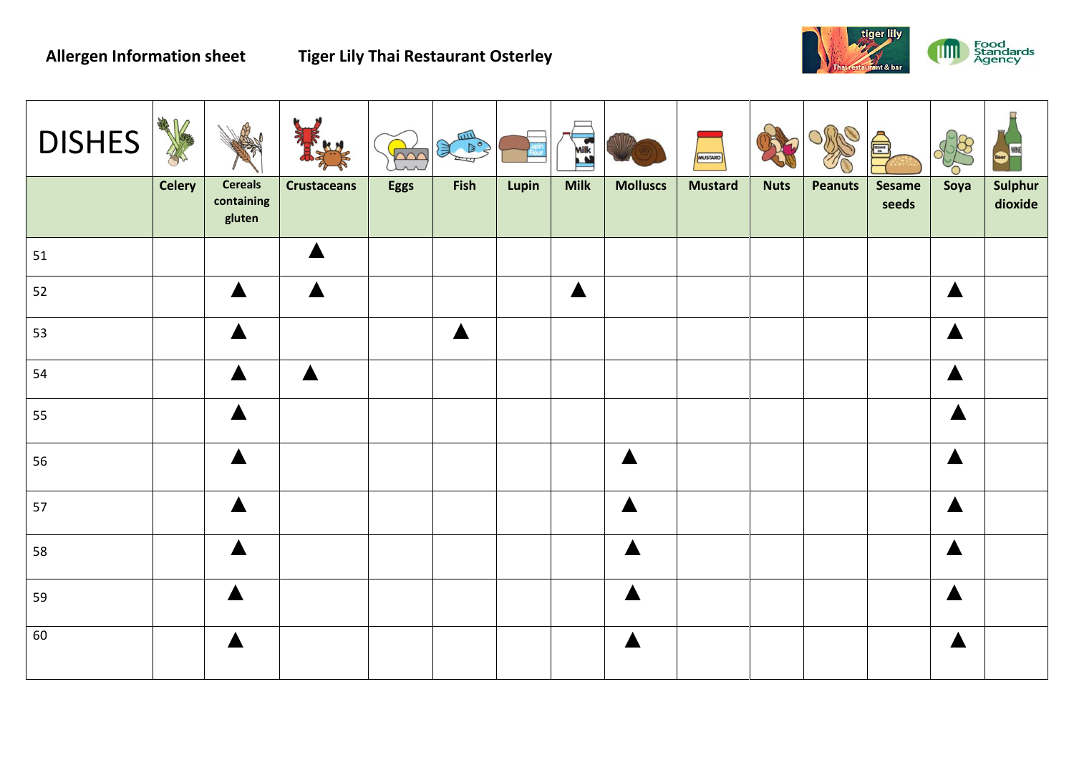

| <b>DISHES</b> | 著             |                                        |                    | $\mathbb{R}^2$ | Sean of the Sea  |       | <b>Milk</b>      |                  | MUSTARD        |             |                | $\equiv$        |                  |                    |
|---------------|---------------|----------------------------------------|--------------------|----------------|------------------|-------|------------------|------------------|----------------|-------------|----------------|-----------------|------------------|--------------------|
|               | <b>Celery</b> | <b>Cereals</b><br>containing<br>gluten | <b>Crustaceans</b> | <b>Eggs</b>    | Fish             | Lupin | <b>Milk</b>      | <b>Molluscs</b>  | <b>Mustard</b> | <b>Nuts</b> | <b>Peanuts</b> | Sesame<br>seeds | Soya             | Sulphur<br>dioxide |
| 51            |               |                                        |                    |                |                  |       |                  |                  |                |             |                |                 |                  |                    |
| 52            |               | $\blacktriangle$                       |                    |                |                  |       | $\blacktriangle$ |                  |                |             |                |                 | $\blacktriangle$ |                    |
| 53            |               |                                        |                    |                | $\blacktriangle$ |       |                  |                  |                |             |                |                 | $\blacktriangle$ |                    |
| 54            |               | $\blacktriangle$                       | $\blacktriangle$   |                |                  |       |                  |                  |                |             |                |                 | $\blacktriangle$ |                    |
| 55            |               |                                        |                    |                |                  |       |                  |                  |                |             |                |                 |                  |                    |
| 56            |               |                                        |                    |                |                  |       |                  |                  |                |             |                |                 |                  |                    |
| 57            |               |                                        |                    |                |                  |       |                  | $\blacktriangle$ |                |             |                |                 | $\blacktriangle$ |                    |
| 58            |               |                                        |                    |                |                  |       |                  |                  |                |             |                |                 | $\blacktriangle$ |                    |
| 59            |               |                                        |                    |                |                  |       |                  |                  |                |             |                |                 | $\blacktriangle$ |                    |
| 60            |               |                                        |                    |                |                  |       |                  |                  |                |             |                |                 |                  |                    |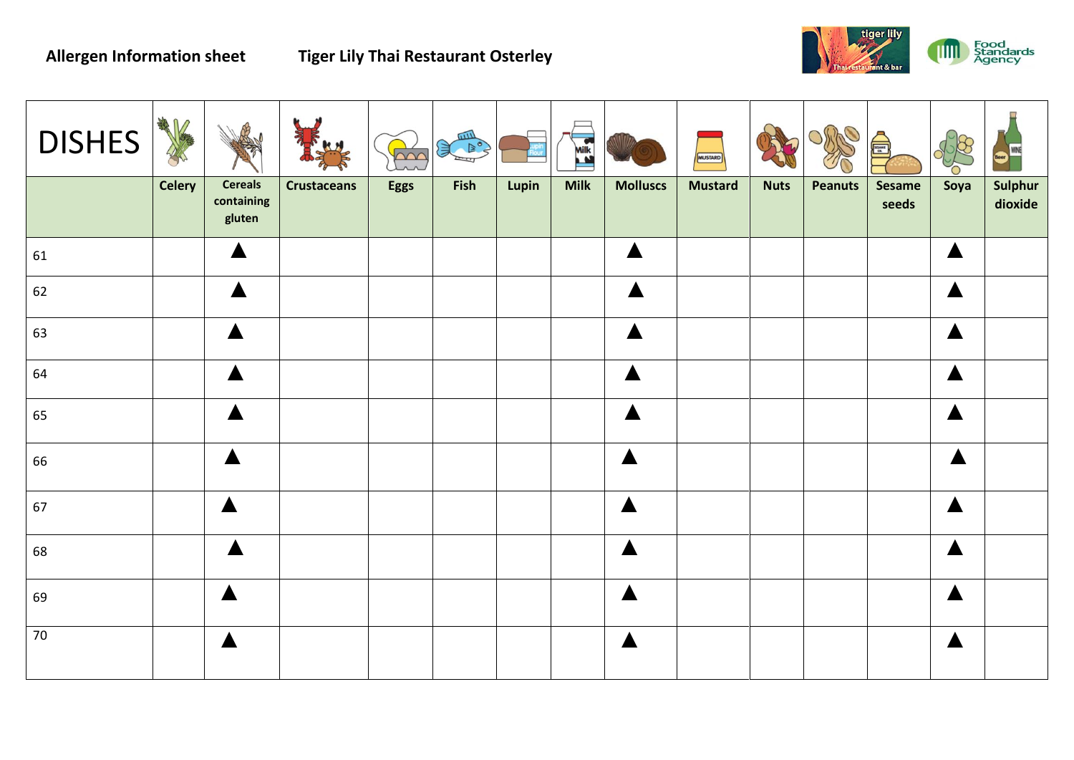

| <b>DISHES</b> | 零<br>$\mathbb{D}$ |                                        |                    | $\overline{\sim}$ | AMA  |       | <b>Milk</b> |                  | MUSTARD        |             |                | <b>Project</b>         |                  |                    |
|---------------|-------------------|----------------------------------------|--------------------|-------------------|------|-------|-------------|------------------|----------------|-------------|----------------|------------------------|------------------|--------------------|
|               | <b>Celery</b>     | <b>Cereals</b><br>containing<br>gluten | <b>Crustaceans</b> | Eggs              | Fish | Lupin | <b>Milk</b> | <b>Molluscs</b>  | <b>Mustard</b> | <b>Nuts</b> | <b>Peanuts</b> | <b>Sesame</b><br>seeds | Soya             | Sulphur<br>dioxide |
| 61            |                   | $\blacktriangle$                       |                    |                   |      |       |             | $\blacktriangle$ |                |             |                |                        | $\blacktriangle$ |                    |
| 62            |                   |                                        |                    |                   |      |       |             |                  |                |             |                |                        | $\blacktriangle$ |                    |
| 63            |                   |                                        |                    |                   |      |       |             |                  |                |             |                |                        | $\blacktriangle$ |                    |
| 64            |                   |                                        |                    |                   |      |       |             | $\blacktriangle$ |                |             |                |                        | $\blacktriangle$ |                    |
| 65            |                   | $\blacktriangle$                       |                    |                   |      |       |             | $\blacktriangle$ |                |             |                |                        | $\blacktriangle$ |                    |
| 66            |                   | $\blacktriangle$                       |                    |                   |      |       |             |                  |                |             |                |                        |                  |                    |
| 67            |                   |                                        |                    |                   |      |       |             |                  |                |             |                |                        | $\blacktriangle$ |                    |
| 68            |                   |                                        |                    |                   |      |       |             |                  |                |             |                |                        | $\blacktriangle$ |                    |
| 69            |                   |                                        |                    |                   |      |       |             |                  |                |             |                |                        |                  |                    |
| 70            |                   | $\blacktriangle$                       |                    |                   |      |       |             | $\blacktriangle$ |                |             |                |                        | $\blacktriangle$ |                    |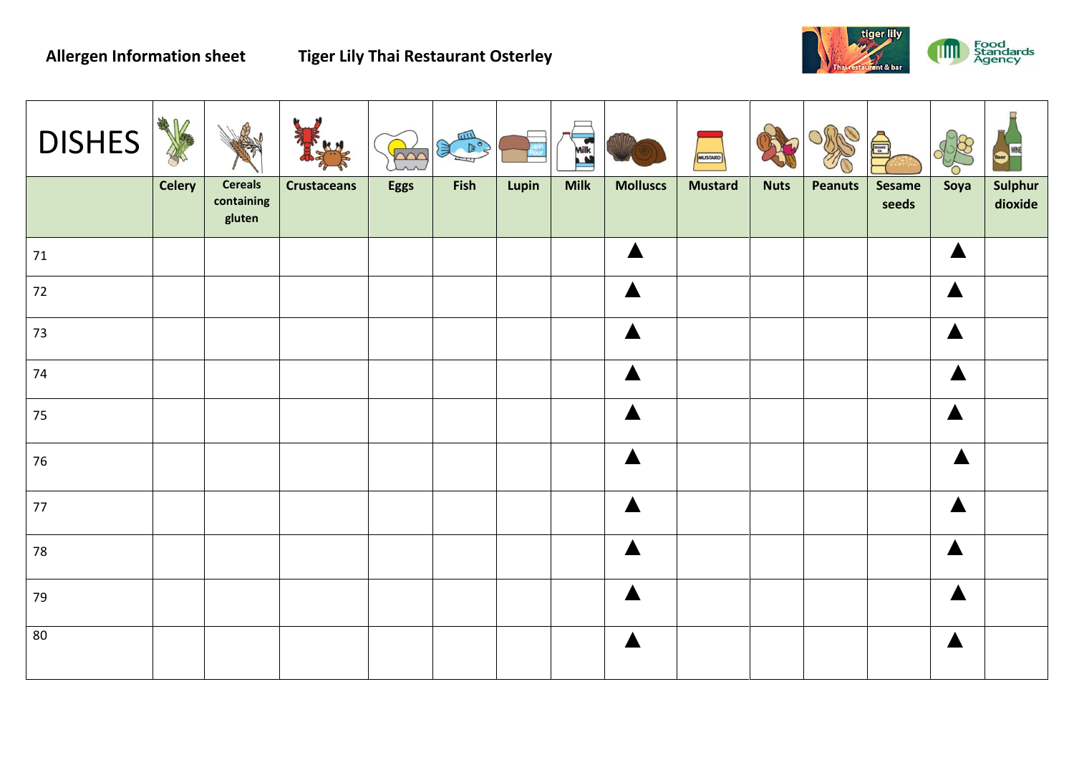

| <b>DISHES</b> | 帶             |                                        |                    | $\sum$ | Sean Port |       | Milk        |                  | <b>MUSTARD</b> |             |                | $\blacksquare$  |                  |                    |
|---------------|---------------|----------------------------------------|--------------------|--------|-----------|-------|-------------|------------------|----------------|-------------|----------------|-----------------|------------------|--------------------|
|               | <b>Celery</b> | <b>Cereals</b><br>containing<br>gluten | <b>Crustaceans</b> | Eggs   | Fish      | Lupin | <b>Milk</b> | <b>Molluscs</b>  | <b>Mustard</b> | <b>Nuts</b> | <b>Peanuts</b> | Sesame<br>seeds | Soya             | Sulphur<br>dioxide |
| 71            |               |                                        |                    |        |           |       |             | $\blacktriangle$ |                |             |                |                 | $\blacktriangle$ |                    |
| 72            |               |                                        |                    |        |           |       |             |                  |                |             |                |                 | $\blacktriangle$ |                    |
| 73            |               |                                        |                    |        |           |       |             |                  |                |             |                |                 | ▲                |                    |
| $74$          |               |                                        |                    |        |           |       |             |                  |                |             |                |                 |                  |                    |
| 75            |               |                                        |                    |        |           |       |             |                  |                |             |                |                 | $\blacktriangle$ |                    |
| 76            |               |                                        |                    |        |           |       |             |                  |                |             |                |                 |                  |                    |
| 77            |               |                                        |                    |        |           |       |             |                  |                |             |                |                 |                  |                    |
| 78            |               |                                        |                    |        |           |       |             |                  |                |             |                |                 | $\blacktriangle$ |                    |
| 79            |               |                                        |                    |        |           |       |             |                  |                |             |                |                 |                  |                    |
| 80            |               |                                        |                    |        |           |       |             |                  |                |             |                |                 |                  |                    |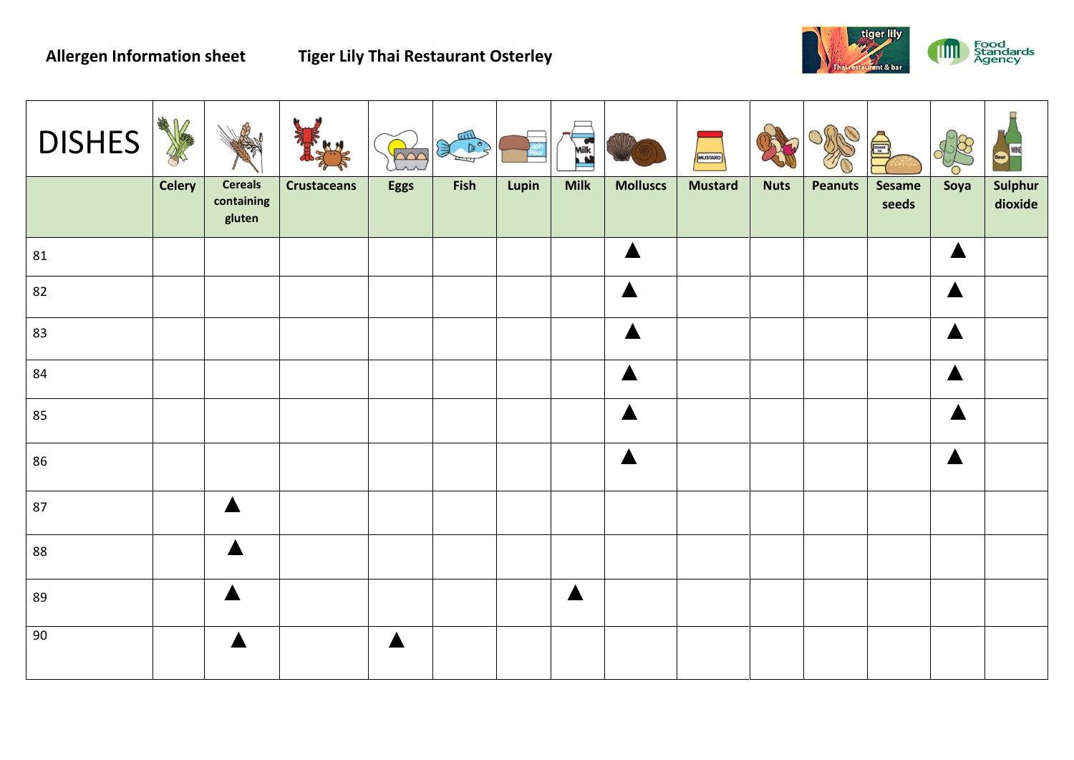

| <b>DISHES</b> | 卷1            |                                        |                    | $\overline{\text{Cov}}$ | SOLUTION OF |       | <b>Milk</b>      |                  | <b>MUSTARD</b> |             |                | $\begin{array}{c}\n\overline{\phantom{a}} \\ \overline{\phantom{a}} \\ \overline{\phantom{a}} \\ \overline{\phantom{a}} \\ \overline{\phantom{a}} \\ \overline{\phantom{a}} \\ \overline{\phantom{a}} \\ \overline{\phantom{a}} \\ \overline{\phantom{a}} \\ \overline{\phantom{a}} \\ \overline{\phantom{a}} \\ \overline{\phantom{a}} \\ \overline{\phantom{a}} \\ \overline{\phantom{a}} \\ \overline{\phantom{a}} \\ \overline{\phantom{a}} \\ \overline{\phantom{a}} \\ \overline{\phantom{a}} \\ \overline{\phantom{a}} \\ \overline{\phantom{a}} \\ \overline{\phantom{a}} \\ \over$ |                  |                    |
|---------------|---------------|----------------------------------------|--------------------|-------------------------|-------------|-------|------------------|------------------|----------------|-------------|----------------|---------------------------------------------------------------------------------------------------------------------------------------------------------------------------------------------------------------------------------------------------------------------------------------------------------------------------------------------------------------------------------------------------------------------------------------------------------------------------------------------------------------------------------------------------------------------------------------------|------------------|--------------------|
|               | <b>Celery</b> | <b>Cereals</b><br>containing<br>gluten | <b>Crustaceans</b> | Eggs                    | Fish        | Lupin | <b>Milk</b>      | <b>Molluscs</b>  | <b>Mustard</b> | <b>Nuts</b> | <b>Peanuts</b> | <b>Sesame</b><br>seeds                                                                                                                                                                                                                                                                                                                                                                                                                                                                                                                                                                      | Soya             | Sulphur<br>dioxide |
| 81            |               |                                        |                    |                         |             |       |                  | $\blacktriangle$ |                |             |                |                                                                                                                                                                                                                                                                                                                                                                                                                                                                                                                                                                                             | $\blacktriangle$ |                    |
| 82            |               |                                        |                    |                         |             |       |                  |                  |                |             |                |                                                                                                                                                                                                                                                                                                                                                                                                                                                                                                                                                                                             | $\blacktriangle$ |                    |
| 83            |               |                                        |                    |                         |             |       |                  |                  |                |             |                |                                                                                                                                                                                                                                                                                                                                                                                                                                                                                                                                                                                             | $\blacktriangle$ |                    |
| 84            |               |                                        |                    |                         |             |       |                  |                  |                |             |                |                                                                                                                                                                                                                                                                                                                                                                                                                                                                                                                                                                                             | $\blacktriangle$ |                    |
| 85            |               |                                        |                    |                         |             |       |                  |                  |                |             |                |                                                                                                                                                                                                                                                                                                                                                                                                                                                                                                                                                                                             | ▲                |                    |
| 86            |               |                                        |                    |                         |             |       |                  |                  |                |             |                |                                                                                                                                                                                                                                                                                                                                                                                                                                                                                                                                                                                             | $\blacktriangle$ |                    |
| 87            |               |                                        |                    |                         |             |       |                  |                  |                |             |                |                                                                                                                                                                                                                                                                                                                                                                                                                                                                                                                                                                                             |                  |                    |
| 88            |               |                                        |                    |                         |             |       |                  |                  |                |             |                |                                                                                                                                                                                                                                                                                                                                                                                                                                                                                                                                                                                             |                  |                    |
| 89            |               |                                        |                    |                         |             |       | $\blacktriangle$ |                  |                |             |                |                                                                                                                                                                                                                                                                                                                                                                                                                                                                                                                                                                                             |                  |                    |
| 90            |               |                                        |                    | $\blacktriangle$        |             |       |                  |                  |                |             |                |                                                                                                                                                                                                                                                                                                                                                                                                                                                                                                                                                                                             |                  |                    |